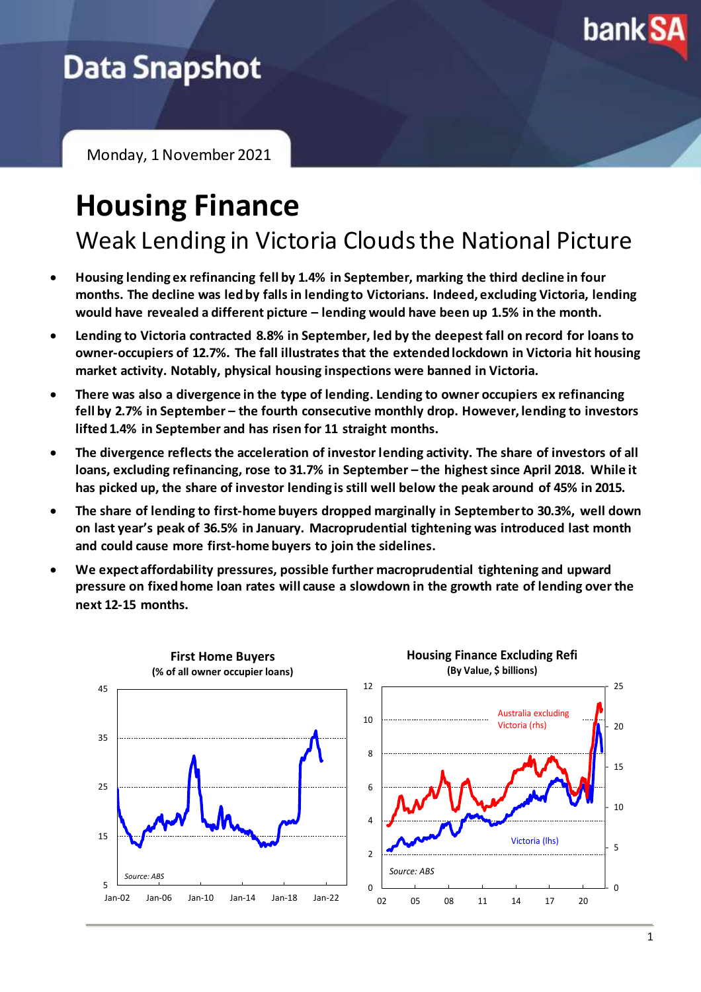

## **Data Snapshot**

Monday, 1 November 2021

# **Housing Finance**

Weak Lending in Victoria Clouds the National Picture

- **Housing lending ex refinancing fell by 1.4% in September, marking the third decline in four months. The decline was led by falls in lending to Victorians. Indeed, excluding Victoria, lending would have revealed a different picture – lending would have been up 1.5% in the month.**
- **Lending to Victoria contracted 8.8% in September, led by the deepest fall on record for loans to owner-occupiers of 12.7%. The fall illustrates that the extendedlockdown in Victoria hit housing market activity. Notably, physical housing inspections were banned in Victoria.**
- **There was also a divergence in the type of lending. Lending to owner occupiers ex refinancing fell by 2.7% in September – the fourth consecutive monthly drop. However, lending to investors lifted 1.4% in September and has risen for 11 straight months.**
- **The divergence reflects the acceleration of investor lending activity. The share of investors of all loans, excluding refinancing, rose to 31.7% in September – the highest since April 2018. While it has picked up, the share of investor lending is still well below the peak around of 45% in 2015.**
- **The share of lending to first-home buyers dropped marginally in September to 30.3%, well down on last year's peak of 36.5% in January. Macroprudential tightening was introduced last month and could cause more first-home buyers to join the sidelines.**
- **We expect affordability pressures, possible further macroprudential tightening and upward pressure on fixed home loan rates will cause a slowdown in the growth rate of lending over the next 12-15 months.**

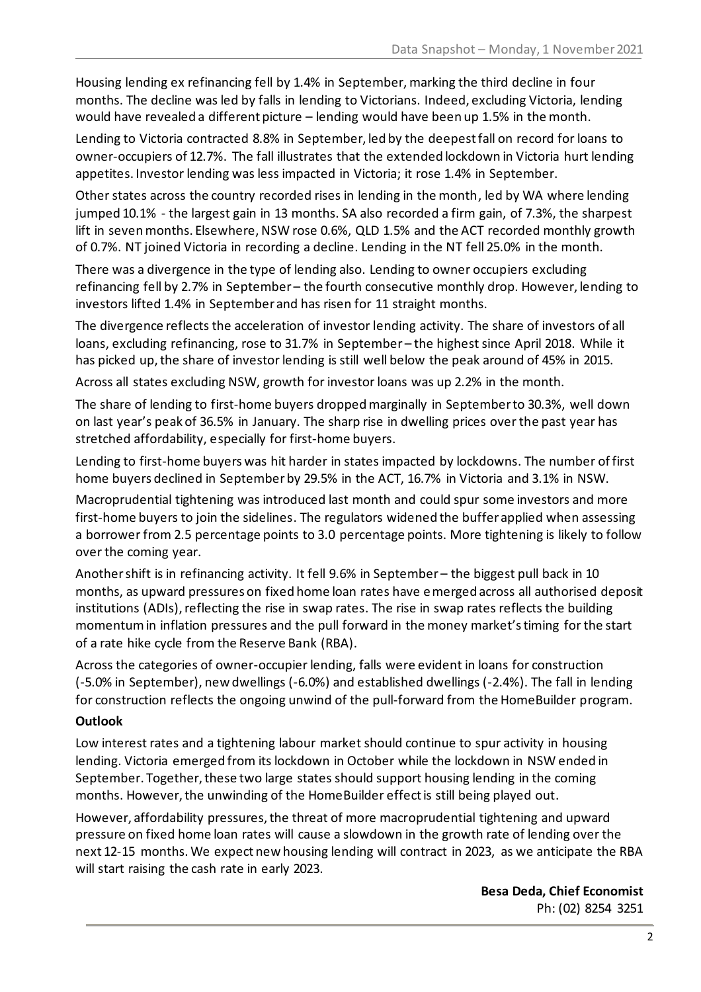Housing lending ex refinancing fell by 1.4% in September, marking the third decline in four months. The decline was led by falls in lending to Victorians. Indeed, excluding Victoria, lending would have revealed a different picture – lending would have been up 1.5% in the month.

Lending to Victoria contracted 8.8% in September, led by the deepest fall on record for loans to owner-occupiers of 12.7%. The fall illustrates that the extended lockdown in Victoria hurt lending appetites. Investor lending was less impacted in Victoria; it rose 1.4% in September.

Other states across the country recorded rises in lending in the month, led by WA where lending jumped 10.1% - the largest gain in 13 months. SA also recorded a firm gain, of 7.3%, the sharpest lift in seven months. Elsewhere, NSW rose 0.6%, QLD 1.5% and the ACT recorded monthly growth of 0.7%. NT joined Victoria in recording a decline. Lending in the NT fell 25.0% in the month.

There was a divergence in the type of lending also. Lending to owner occupiers excluding refinancing fell by 2.7% in September – the fourth consecutive monthly drop. However, lending to investors lifted 1.4% in September and has risen for 11 straight months.

The divergence reflects the acceleration of investor lending activity. The share of investors of all loans, excluding refinancing, rose to 31.7% in September – the highest since April 2018. While it has picked up, the share of investor lending is still well below the peak around of 45% in 2015.

Across all states excluding NSW, growth for investor loans was up 2.2% in the month.

The share of lending to first-home buyers dropped marginally in September to 30.3%, well down on last year's peak of 36.5% in January. The sharp rise in dwelling prices over the past year has stretched affordability, especially for first-home buyers.

Lending to first-home buyers was hit harder in states impacted by lockdowns. The number of first home buyers declined in September by 29.5% in the ACT, 16.7% in Victoria and 3.1% in NSW.

Macroprudential tightening was introduced last month and could spur some investors and more first-home buyers to join the sidelines. The regulators widened the buffer applied when assessing a borrower from 2.5 percentage points to 3.0 percentage points. More tightening is likely to follow over the coming year.

Anothershift is in refinancing activity. It fell 9.6% in September – the biggest pull back in 10 months, as upward pressures on fixed home loan rates have emerged across all authorised deposit institutions (ADIs), reflecting the rise in swap rates. The rise in swap rates reflects the building momentum in inflation pressures and the pull forward in the money market's timing for the start of a rate hike cycle from the Reserve Bank (RBA).

Across the categories of owner-occupier lending, falls were evident in loans for construction (-5.0% in September), new dwellings (-6.0%) and established dwellings (-2.4%). The fall in lending for construction reflects the ongoing unwind of the pull-forward from the HomeBuilder program.

### **Outlook**

Low interest rates and a tightening labour market should continue to spur activity in housing lending. Victoria emerged from its lockdown in October while the lockdown in NSW ended in September. Together, these two large states should support housing lending in the coming months. However, the unwinding of the HomeBuilder effect is still being played out.

However, affordability pressures, the threat of more macroprudential tightening and upward pressure on fixed home loan rates will cause a slowdown in the growth rate of lending over the next 12-15 months. We expect new housing lending will contract in 2023, as we anticipate the RBA will start raising the cash rate in early 2023.

> **Besa Deda, Chief Economist** Ph: (02) 8254 3251